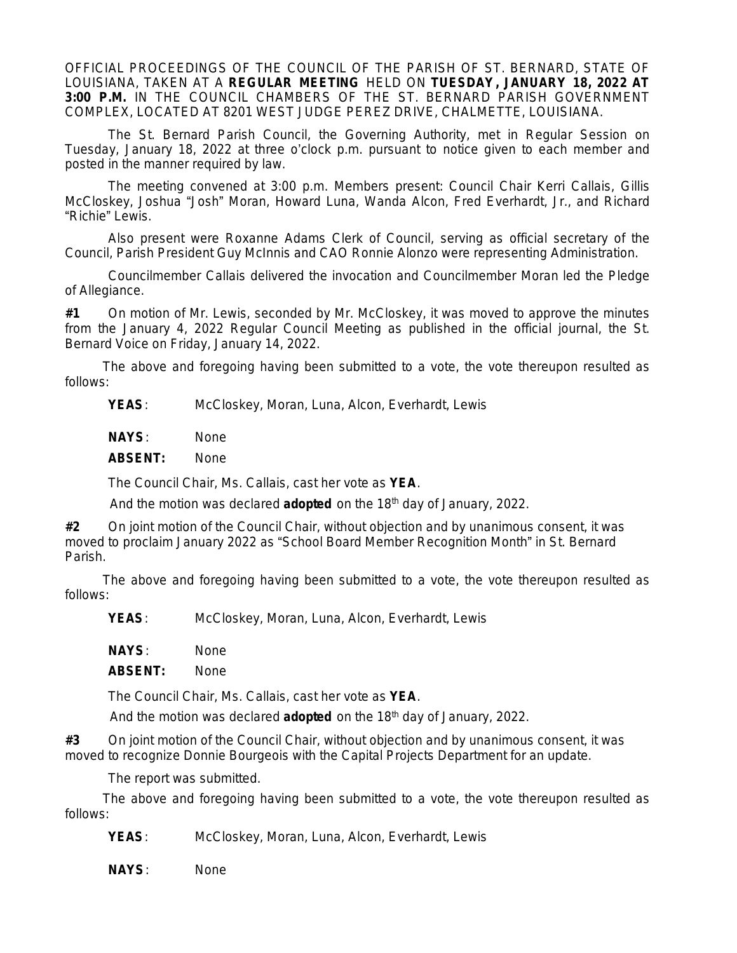OFFICIAL PROCEEDINGS OF THE COUNCIL OF THE PARISH OF ST. BERNARD, STATE OF LOUISIANA, TAKEN AT A **REGULAR MEETING** HELD ON **TUESDAY, JANUARY 18, 2022 AT 3:00 P.M.** IN THE COUNCIL CHAMBERS OF THE ST. BERNARD PARISH GOVERNMENT COMPLEX, LOCATED AT 8201 WEST JUDGE PEREZ DRIVE, CHALMETTE, LOUISIANA.

The St. Bernard Parish Council, the Governing Authority, met in Regular Session on Tuesday, January 18, 2022 at three o'clock p.m. pursuant to notice given to each member and posted in the manner required by law.

The meeting convened at 3:00 p.m. Members present: Council Chair Kerri Callais, Gillis McCloskey, Joshua "Josh" Moran, Howard Luna, Wanda Alcon, Fred Everhardt, Jr., and Richard "Richie" Lewis.

Also present were Roxanne Adams Clerk of Council, serving as official secretary of the Council, Parish President Guy McInnis and CAO Ronnie Alonzo were representing Administration.

Councilmember Callais delivered the invocation and Councilmember Moran led the Pledge of Allegiance.

**#1** On motion of Mr. Lewis, seconded by Mr. McCloskey, it was moved to approve the minutes from the January 4, 2022 Regular Council Meeting as published in the official journal, the St. Bernard Voice on Friday, January 14, 2022.

The above and foregoing having been submitted to a vote, the vote thereupon resulted as follows:

**YEAS**: McCloskey, Moran, Luna, Alcon, Everhardt, Lewis

**NAYS**: None

**ABSENT:** None

The Council Chair, Ms. Callais, cast her vote as **YEA**.

And the motion was declared **adopted** on the 18th day of January, 2022.

**#2** On joint motion of the Council Chair, without objection and by unanimous consent, it was moved to proclaim January 2022 as "School Board Member Recognition Month" in St. Bernard Parish.

The above and foregoing having been submitted to a vote, the vote thereupon resulted as follows:

**YEAS**: McCloskey, Moran, Luna, Alcon, Everhardt, Lewis

**NAYS**: None

**ABSENT:** None

The Council Chair, Ms. Callais, cast her vote as **YEA**.

And the motion was declared **adopted** on the 18th day of January, 2022.

**#3** On joint motion of the Council Chair, without objection and by unanimous consent, it was moved to recognize Donnie Bourgeois with the Capital Projects Department for an update.

The report was submitted.

The above and foregoing having been submitted to a vote, the vote thereupon resulted as follows:

**YEAS**: McCloskey, Moran, Luna, Alcon, Everhardt, Lewis

**NAYS**: None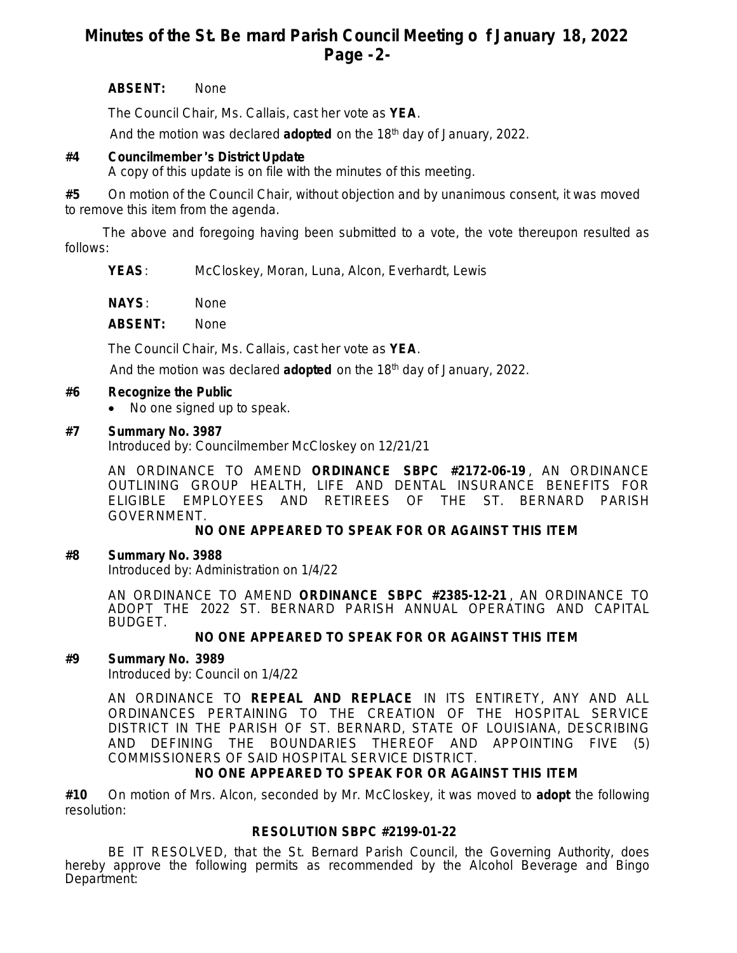# **Minutes of the St. Be rnard Parish Council Meeting o f January 18, 2022 Page -2-**

### **ABSENT:** None

The Council Chair, Ms. Callais, cast her vote as **YEA**.

And the motion was declared **adopted** on the 18th day of January, 2022.

## **#4 Councilmember** '**s District Update**

A copy of this update is on file with the minutes of this meeting.

**#5** On motion of the Council Chair, without objection and by unanimous consent, it was moved to remove this item from the agenda.

The above and foregoing having been submitted to a vote, the vote thereupon resulted as follows:

**YEAS**: McCloskey, Moran, Luna, Alcon, Everhardt, Lewis

**NAYS**: None

**ABSENT:** None

The Council Chair, Ms. Callais, cast her vote as **YEA**.

And the motion was declared **adopted** on the 18th day of January, 2022.

#### **#6 Recognize the Public**

• No one signed up to speak.

#### **#7 Summary No. 3987**

Introduced by: Councilmember McCloskey on 12/21/21

AN ORDINANCE TO AMEND **ORDINANCE SBPC #2172-06-19** , AN ORDINANCE OUTLINING GROUP HEALTH, LIFE AND DENTAL INSURANCE BENEFITS FOR ELIGIBLE EMPLOYEES AND RETIREES OF THE ST. BERNARD PARISH GOVERNMENT.

#### **NO ONE APPEARED TO SPEAK FOR OR AGAINST THIS ITEM**

### **#8 Summary No. 3988**

Introduced by: Administration on 1/4/22

AN ORDINANCE TO AMEND **ORDINANCE SBPC #2385-12-21** , AN ORDINANCE TO ADOPT THE 2022 ST. BERNARD PARISH ANNUAL OPERATING AND CAPITAL BUDGET.

### **NO ONE APPEARED TO SPEAK FOR OR AGAINST THIS ITEM**

### **#9 Summary No. 3989**

Introduced by: Council on 1/4/22

AN ORDINANCE TO **REPEAL AND REPLACE** IN ITS ENTIRETY, ANY AND ALL ORDINANCES PERTAINING TO THE CREATION OF THE HOSPITAL SERVICE DISTRICT IN THE PARISH OF ST. BERNARD, STATE OF LOUISIANA, DESCRIBING AND DEFINING THE BOUNDARIES THEREOF AND APPOINTING FIVE (5) COMMISSIONERS OF SAID HOSPITAL SERVICE DISTRICT.

### **NO ONE APPEARED TO SPEAK FOR OR AGAINST THIS ITEM**

**#10** On motion of Mrs. Alcon, seconded by Mr. McCloskey, it was moved to **adopt** the following resolution:

### **RESOLUTION SBPC #2199-01-22**

BE IT RESOLVED, that the St. Bernard Parish Council, the Governing Authority, does hereby approve the following permits as recommended by the Alcohol Beverage and Bingo Department: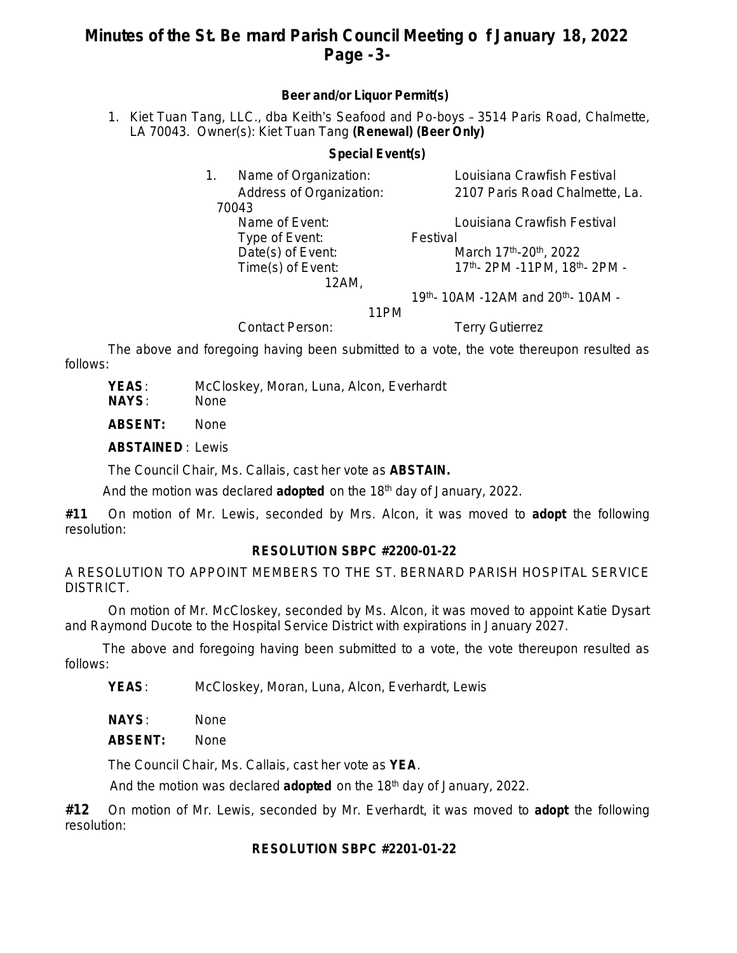# **Minutes of the St. Be rnard Parish Council Meeting o f January 18, 2022 Page -3-**

### **Beer and/or Liquor Permit(s)**

1. Kiet Tuan Tang, LLC., dba Keith's Seafood and Po-boys – 3514 Paris Road, Chalmette, LA 70043. Owner(s): Kiet Tuan Tang **(Renewal) (Beer Only)**

### **Special Event(s)**

|  | Name of Organization:    | Louisiana Crawfish Festival    |
|--|--------------------------|--------------------------------|
|  | Address of Organization: | 2107 Paris Road Chalmette, La. |
|  | 70043                    |                                |
|  | Name of Event:           | Louisiana Crawfish Festival    |
|  | Type of Event:           | Festival                       |
|  | Date(s) of Event:        | March 17th-20th, 2022          |
|  | Time(s) of Event:        | 17th- 2PM -11PM, 18th- 2PM -   |
|  |                          |                                |

19th- 10AM -12AM and 20th- 10AM -

11PM

Contact Person: Terry Gutierrez

The above and foregoing having been submitted to a vote, the vote thereupon resulted as follows:

**YEAS**: McCloskey, Moran, Luna, Alcon, Everhardt

**NAYS**: None

**ABSENT:** None

**ABSTAINED** : Lewis

The Council Chair, Ms. Callais, cast her vote as **ABSTAIN.**

And the motion was declared **adopted** on the 18th day of January, 2022.

**#11** On motion of Mr. Lewis, seconded by Mrs. Alcon, it was moved to **adopt** the following resolution:

### **RESOLUTION SBPC #2200-01-22**

A RESOLUTION TO APPOINT MEMBERS TO THE ST. BERNARD PARISH HOSPITAL SERVICE DISTRICT.

On motion of Mr. McCloskey, seconded by Ms. Alcon, it was moved to appoint Katie Dysart and Raymond Ducote to the Hospital Service District with expirations in January 2027.

The above and foregoing having been submitted to a vote, the vote thereupon resulted as follows:

**YEAS**: McCloskey, Moran, Luna, Alcon, Everhardt, Lewis

**NAYS**: None

**ABSENT:** None

The Council Chair, Ms. Callais, cast her vote as **YEA**.

And the motion was declared **adopted** on the 18<sup>th</sup> day of January, 2022.

**#12** On motion of Mr. Lewis, seconded by Mr. Everhardt, it was moved to **adopt** the following resolution:

### **RESOLUTION SBPC #2201-01-22**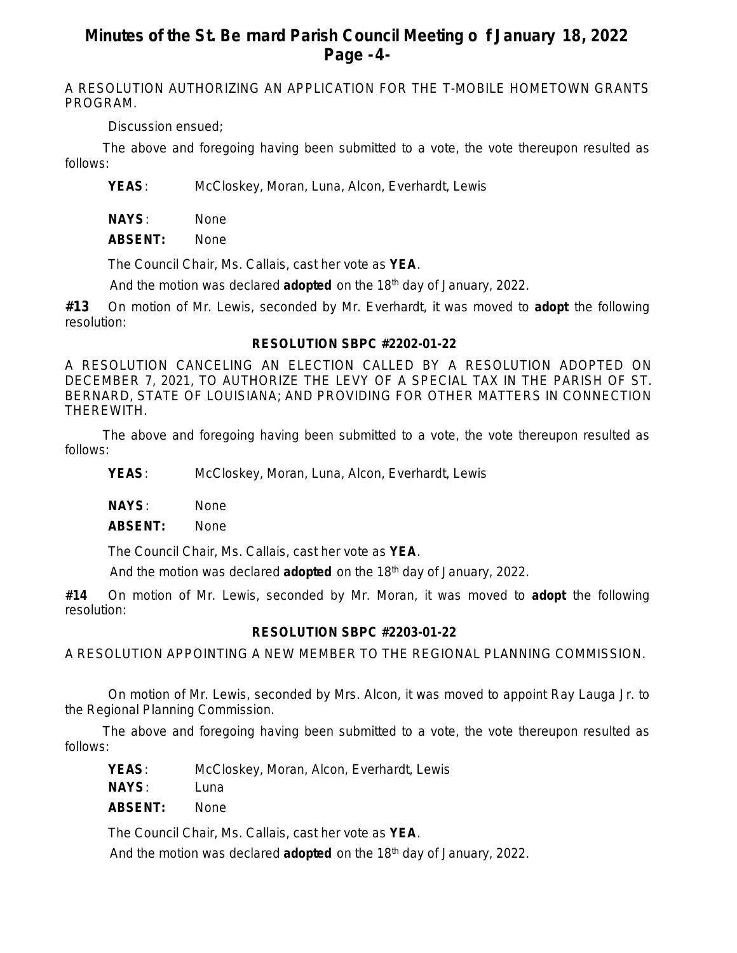# **Minutes of the St. Be rnard Parish Council Meeting o f January 18, 2022 Page -4-**

A RESOLUTION AUTHORIZING AN APPLICATION FOR THE T-MOBILE HOMETOWN GRANTS PROGRAM.

Discussion ensued;

The above and foregoing having been submitted to a vote, the vote thereupon resulted as follows:

**YEAS**: McCloskey, Moran, Luna, Alcon, Everhardt, Lewis

**NAYS**: None

**ABSENT:** None

The Council Chair, Ms. Callais, cast her vote as **YEA**.

And the motion was declared **adopted** on the 18th day of January, 2022.

**#13** On motion of Mr. Lewis, seconded by Mr. Everhardt, it was moved to **adopt** the following resolution:

## **RESOLUTION SBPC #2202-01-22**

A RESOLUTION CANCELING AN ELECTION CALLED BY A RESOLUTION ADOPTED ON DECEMBER 7, 2021, TO AUTHORIZE THE LEVY OF A SPECIAL TAX IN THE PARISH OF ST. BERNARD, STATE OF LOUISIANA; AND PROVIDING FOR OTHER MATTERS IN CONNECTION THEREWITH.

The above and foregoing having been submitted to a vote, the vote thereupon resulted as follows:

**YEAS**: McCloskey, Moran, Luna, Alcon, Everhardt, Lewis

**NAYS**: None

**ABSENT:** None

The Council Chair, Ms. Callais, cast her vote as **YEA**.

And the motion was declared **adopted** on the 18th day of January, 2022.

**#14** On motion of Mr. Lewis, seconded by Mr. Moran, it was moved to **adopt** the following resolution:

## **RESOLUTION SBPC #2203-01-22**

A RESOLUTION APPOINTING A NEW MEMBER TO THE REGIONAL PLANNING COMMISSION.

On motion of Mr. Lewis, seconded by Mrs. Alcon, it was moved to appoint Ray Lauga Jr. to the Regional Planning Commission.

The above and foregoing having been submitted to a vote, the vote thereupon resulted as follows:

**YEAS**: McCloskey, Moran, Alcon, Everhardt, Lewis

**NAYS**: Luna

**ABSENT:** None

The Council Chair, Ms. Callais, cast her vote as **YEA**.

And the motion was declared **adopted** on the 18th day of January, 2022.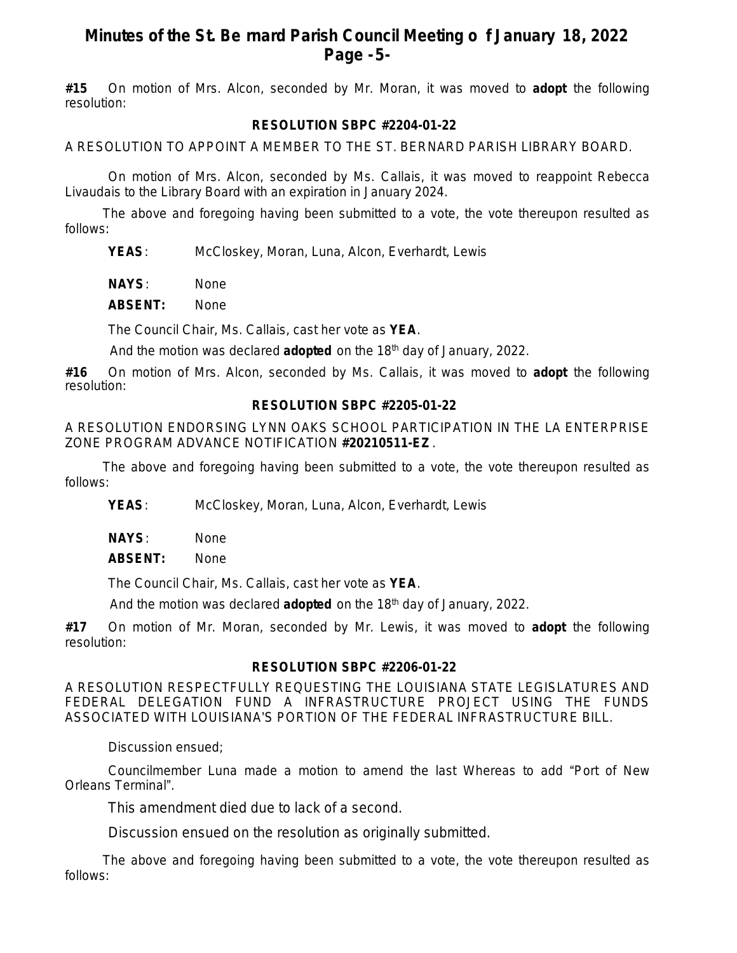## **Minutes of the St. Be rnard Parish Council Meeting o f January 18, 2022 Page -5-**

**#15** On motion of Mrs. Alcon, seconded by Mr. Moran, it was moved to **adopt** the following resolution:

## **RESOLUTION SBPC #2204-01-22**

A RESOLUTION TO APPOINT A MEMBER TO THE ST. BERNARD PARISH LIBRARY BOARD.

On motion of Mrs. Alcon, seconded by Ms. Callais, it was moved to reappoint Rebecca Livaudais to the Library Board with an expiration in January 2024.

The above and foregoing having been submitted to a vote, the vote thereupon resulted as follows:

**YEAS**: McCloskey, Moran, Luna, Alcon, Everhardt, Lewis

**NAYS**: None

**ABSENT:** None

The Council Chair, Ms. Callais, cast her vote as **YEA**.

And the motion was declared **adopted** on the 18th day of January, 2022.

**#16** On motion of Mrs. Alcon, seconded by Ms. Callais, it was moved to **adopt** the following resolution:

## **RESOLUTION SBPC #2205-01-22**

A RESOLUTION ENDORSING LYNN OAKS SCHOOL PARTICIPATION IN THE LA ENTERPRISE ZONE PROGRAM ADVANCE NOTIFICATION **#20210511-EZ** .

The above and foregoing having been submitted to a vote, the vote thereupon resulted as follows:

**YEAS**: McCloskey, Moran, Luna, Alcon, Everhardt, Lewis

**NAYS**: None

**ABSENT:** None

The Council Chair, Ms. Callais, cast her vote as **YEA**.

And the motion was declared **adopted** on the 18th day of January, 2022.

**#17** On motion of Mr. Moran, seconded by Mr. Lewis, it was moved to **adopt** the following resolution:

### **RESOLUTION SBPC #2206-01-22**

A RESOLUTION RESPECTFULLY REQUESTING THE LOUISIANA STATE LEGISLATURES AND FEDERAL DELEGATION FUND A INFRASTRUCTURE PROJECT USING THE FUNDS ASSOCIATED WITH LOUISIANA'S PORTION OF THE FEDERAL INFRASTRUCTURE BILL.

Discussion ensued;

Councilmember Luna made a motion to amend the last Whereas to add "Port of New Orleans Terminal".

This amendment died due to lack of a second.

Discussion ensued on the resolution as originally submitted.

The above and foregoing having been submitted to a vote, the vote thereupon resulted as follows: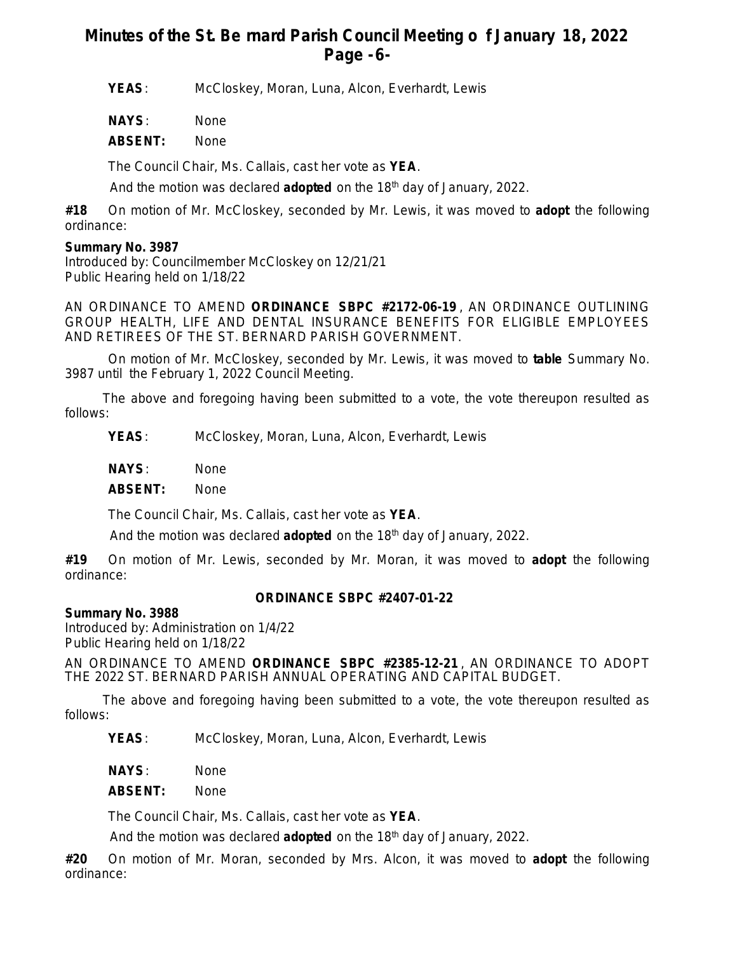# **Minutes of the St. Be rnard Parish Council Meeting o f January 18, 2022 Page -6-**

**YEAS**: McCloskey, Moran, Luna, Alcon, Everhardt, Lewis

**NAYS**: None

**ABSENT:** None

The Council Chair, Ms. Callais, cast her vote as **YEA**.

And the motion was declared **adopted** on the 18th day of January, 2022.

**#18** On motion of Mr. McCloskey, seconded by Mr. Lewis, it was moved to **adopt** the following ordinance:

## **Summary No. 3987**

Introduced by: Councilmember McCloskey on 12/21/21 Public Hearing held on 1/18/22

AN ORDINANCE TO AMEND **ORDINANCE SBPC #2172-06-19** , AN ORDINANCE OUTLINING GROUP HEALTH, LIFE AND DENTAL INSURANCE BENEFITS FOR ELIGIBLE EMPLOYEES AND RETIREES OF THE ST. BERNARD PARISH GOVERNMENT.

On motion of Mr. McCloskey, seconded by Mr. Lewis, it was moved to **table** Summary No. 3987 until the February 1, 2022 Council Meeting.

The above and foregoing having been submitted to a vote, the vote thereupon resulted as follows:

**YEAS**: McCloskey, Moran, Luna, Alcon, Everhardt, Lewis

**NAYS**: None

**ABSENT:** None

The Council Chair, Ms. Callais, cast her vote as **YEA**.

And the motion was declared **adopted** on the 18th day of January, 2022.

**#19** On motion of Mr. Lewis, seconded by Mr. Moran, it was moved to **adopt** the following ordinance:

### **ORDINANCE SBPC #2407-01-22**

**Summary No. 3988**

Introduced by: Administration on 1/4/22 Public Hearing held on 1/18/22

AN ORDINANCE TO AMEND **ORDINANCE SBPC #2385-12-21** , AN ORDINANCE TO ADOPT THE 2022 ST. BERNARD PARISH ANNUAL OPERATING AND CAPITAL BUDGET.

The above and foregoing having been submitted to a vote, the vote thereupon resulted as follows:

**YEAS**: McCloskey, Moran, Luna, Alcon, Everhardt, Lewis

**NAYS**: None

**ABSENT:** None

The Council Chair, Ms. Callais, cast her vote as **YEA**.

And the motion was declared **adopted** on the 18th day of January, 2022.

**#20** On motion of Mr. Moran, seconded by Mrs. Alcon, it was moved to **adopt** the following ordinance: